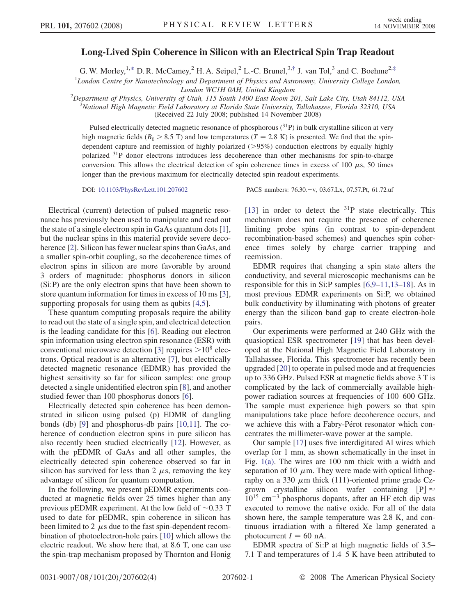## <span id="page-0-0"></span>Long-Lived Spin Coherence in Silicon with an Electrical Spin Trap Readout

G. W. Morley,<sup>1,[\\*](#page-3-0)</sup> D. R. McCamey,<sup>2</sup> H. A. Seipel,<sup>2</sup> L.-C. Brunel,<sup>3,[†](#page-3-0)</sup> J. van Tol,<sup>3</sup> and C. Boehme<sup>2[,‡](#page-3-0)</sup>

 $1$ London Centre for Nanotechnology and Department of Physics and Astronomy, University College London,

London WC1H 0AH, United Kingdom<br><sup>2</sup>Department of Physics, University of Utah, 115 South 1400 East Room 2 Department of Physics, University of Utah, 115 South 1400 East Room 201, Salt Lake City, Utah 84112, USA 3National High Magnetic Field Laboratory at Florida State University Tallahassee, Florida 32310, USA National High Magnetic Field Laboratory at Florida State University, Tallahassee, Florida 32310, USA

(Received 22 July 2008; published 14 November 2008)

Pulsed electrically detected magnetic resonance of phosphorous (31P) in bulk crystalline silicon at very high magnetic fields ( $B_0 > 8.5$  T) and low temperatures (T = 2.8 K) is presented. We find that the spindependent capture and reemission of highly polarized (>95%) conduction electrons by equally highly polarized <sup>31</sup>P donor electrons introduces less decoherence than other mechanisms for spin-to-charge conversion. This allows the electrical detection of spin coherence times in excess of 100  $\mu$ s, 50 times longer than the previous maximum for electrically detected spin readout experiments.

DOI: [10.1103/PhysRevLett.101.207602](http://dx.doi.org/10.1103/PhysRevLett.101.207602) PACS numbers: 76.30. - v, 03.67.Lx, 07.57.Pt, 61.72.uf

Electrical (current) detection of pulsed magnetic resonance has previously been used to manipulate and read out the state of a single electron spin in GaAs quantum dots [[1\]](#page-3-0), but the nuclear spins in this material provide severe decoherence [\[2](#page-3-0)]. Silicon has fewer nuclear spins than GaAs, and a smaller spin-orbit coupling, so the decoherence times of electron spins in silicon are more favorable by around 3 orders of magnitude: phosphorus donors in silicon (Si:P) are the only electron spins that have been shown to store quantum information for times in excess of 10 ms [[3\]](#page-3-0), supporting proposals for using them as qubits [[4,5\]](#page-3-0).

These quantum computing proposals require the ability to read out the state of a single spin, and electrical detection is the leading candidate for this [[6\]](#page-3-0). Reading out electron spin information using electron spin resonance (ESR) with conventional microwave detection [\[3\]](#page-3-0) requires  $>10^8$  electrons. Optical readout is an alternative [[7](#page-3-0)], but electrically detected magnetic resonance (EDMR) has provided the highest sensitivity so far for silicon samples: one group detected a single unidentified electron spin [[8\]](#page-3-0), and another studied fewer than 100 phosphorus donors [[6](#page-3-0)].

Electrically detected spin coherence has been demonstrated in silicon using pulsed (p) EDMR of dangling bonds (db) [\[9\]](#page-3-0) and phosphorus-db pairs [\[10,11\]](#page-3-0). The coherence of conduction electron spins in pure silicon has also recently been studied electrically [[12\]](#page-3-0). However, as with the pEDMR of GaAs and all other samples, the electrically detected spin coherence observed so far in silicon has survived for less than 2  $\mu$ s, removing the key advantage of silicon for quantum computation.

In the following, we present pEDMR experiments conducted at magnetic fields over 25 times higher than any previous pEDMR experiment. At the low field of  $\sim$ 0.33 T used to date for pEDMR, spin coherence in silicon has been limited to 2  $\mu$ s due to the fast spin-dependent recombination of photoelectron-hole pairs [\[10\]](#page-3-0) which allows the electric readout. We show here that, at 8.6 T, one can use the spin-trap mechanism proposed by Thornton and Honig [\[13\]](#page-3-0) in order to detect the  $31P$  state electrically. This mechanism does not require the presence of coherence limiting probe spins (in contrast to spin-dependent recombination-based schemes) and quenches spin coherence times solely by charge carrier trapping and reemission.

EDMR requires that changing a spin state alters the conductivity, and several microscopic mechanisms can be responsible for this in Si:P samples [[6,9–11,13–18](#page-3-0)]. As in most previous EDMR experiments on Si:P, we obtained bulk conductivity by illuminating with photons of greater energy than the silicon band gap to create electron-hole pairs.

Our experiments were performed at 240 GHz with the quasioptical ESR spectrometer [[19](#page-3-0)] that has been developed at the National High Magnetic Field Laboratory in Tallahassee, Florida. This spectrometer has recently been upgraded [[20](#page-3-0)] to operate in pulsed mode and at frequencies up to 336 GHz. Pulsed ESR at magnetic fields above 3 T is complicated by the lack of commercially available highpower radiation sources at frequencies of 100–600 GHz. The sample must experience high powers so that spin manipulations take place before decoherence occurs, and we achieve this with a Fabry-Pérot resonator which concentrates the millimeter-wave power at the sample.

Our sample [[17](#page-3-0)] uses five interdigitated Al wires which overlap for 1 mm, as shown schematically in the inset in Fig. [1\(a\).](#page-1-0) The wires are 100 nm thick with a width and separation of 10  $\mu$ m. They were made with optical lithography on a 330  $\mu$ m thick (111)-oriented prime grade Czgrown crystalline silicon wafer containing  $[P] \approx$  $10^{15}$  cm<sup>-3</sup> phosphorus dopants, after an HF etch dip was executed to remove the native oxide. For all of the data shown here, the sample temperature was 2.8 K, and continuous irradiation with a filtered Xe lamp generated a photocurrent  $I = 60$  nA.

EDMR spectra of Si:P at high magnetic fields of 3.5– 7.1 T and temperatures of 1.4–5 K have been attributed to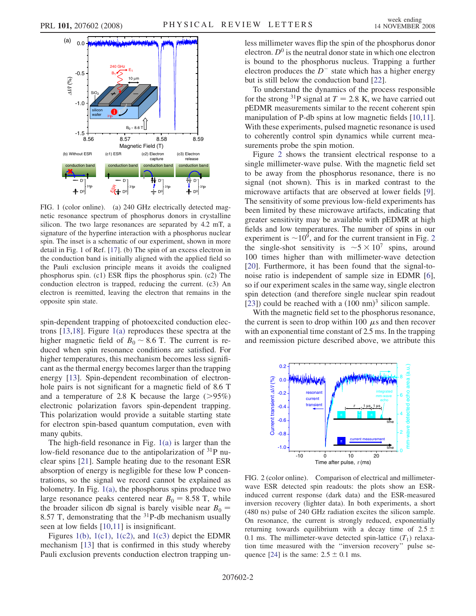<span id="page-1-0"></span>

FIG. 1 (color online). (a) 240 GHz electrically detected magnetic resonance spectrum of phosphorus donors in crystalline silicon. The two large resonances are separated by 4.2 mT, a signature of the hyperfine interaction with a phosphorus nuclear spin. The inset is a schematic of our experiment, shown in more detail in Fig. 1 of Ref. [[17](#page-3-0)]. (b) The spin of an excess electron in the conduction band is initially aligned with the applied field so the Pauli exclusion principle means it avoids the coaligned phosphorus spin. (c1) ESR flips the phosphorus spin. (c2) The conduction electron is trapped, reducing the current. (c3) An electron is reemitted, leaving the electron that remains in the opposite spin state.

spin-dependent trapping of photoexcited conduction electrons [\[13,18\]](#page-3-0). Figure 1(a) reproduces these spectra at the higher magnetic field of  $B_0 \sim 8.6$  T. The current is reduced when spin resonance conditions are satisfied. For higher temperatures, this mechanism becomes less significant as the thermal energy becomes larger than the trapping energy [[13](#page-3-0)]. Spin-dependent recombination of electronhole pairs is not significant for a magnetic field of 8.6 T and a temperature of 2.8 K because the large  $(>\!\!95\%)$ electronic polarization favors spin-dependent trapping. This polarization would provide a suitable starting state for electron spin-based quantum computation, even with many qubits.

The high-field resonance in Fig. 1(a) is larger than the low-field resonance due to the antipolarization of  $^{31}P$  nuclear spins [[21](#page-3-0)]. Sample heating due to the resonant ESR absorption of energy is negligible for these low P concentrations, so the signal we record cannot be explained as bolometry. In Fig. 1(a), the phosphorus spins produce two large resonance peaks centered near  $B_0 = 8.58$  T, while the broader silicon db signal is barely visible near  $B_0$  = 8.57 T, demonstrating that the <sup>31</sup>P-db mechanism usually seen at low fields [[10](#page-3-0),[11](#page-3-0)] is insignificant.

Figures 1(b),  $1(c1)$ ,  $1(c2)$ , and  $1(c3)$  depict the EDMR mechanism [\[13\]](#page-3-0) that is confirmed in this study whereby Pauli exclusion prevents conduction electron trapping unless millimeter waves flip the spin of the phosphorus donor electron.  $D^0$  is the neutral donor state in which one electron is bound to the phosphorus nucleus. Trapping a further electron produces the  $D^-$  state which has a higher energy but is still below the conduction band [[22](#page-3-0)].

To understand the dynamics of the process responsible for the strong <sup>31</sup>P signal at  $T = 2.8$  K, we have carried out pEDMR measurements similar to the recent coherent spin manipulation of P-db spins at low magnetic fields [\[10,11\]](#page-3-0). With these experiments, pulsed magnetic resonance is used to coherently control spin dynamics while current measurements probe the spin motion.

Figure 2 shows the transient electrical response to a single millimeter-wave pulse. With the magnetic field set to be away from the phosphorus resonance, there is no signal (not shown). This is in marked contrast to the microwave artifacts that are observed at lower fields [[9\]](#page-3-0). The sensitivity of some previous low-field experiments has been limited by these microwave artifacts, indicating that greater sensitivity may be available with pEDMR at high fields and low temperatures. The number of spins in our experiment is  $\sim 10^9$ , and for the current transient in Fig. 2 the single-shot sensitivity is  $\sim 5 \times 10^7$  spins, around 100 times higher than with millimeter-wave detection [\[20\]](#page-3-0). Furthermore, it has been found that the signal-tonoise ratio is independent of sample size in EDMR [[6\]](#page-3-0), so if our experiment scales in the same way, single electron spin detection (and therefore single nuclear spin readout [\[23\]](#page-3-0)) could be reached with a  $(100 \text{ nm})^3$  silicon sample.

With the magnetic field set to the phosphorus resonance, the current is seen to drop within 100  $\mu$ s and then recover with an exponential time constant of 2.5 ms. In the trapping and reemission picture described above, we attribute this



FIG. 2 (color online). Comparison of electrical and millimeterwave ESR detected spin readouts: the plots show an ESRinduced current response (dark data) and the ESR-measured inversion recovery (lighter data). In both experiments, a short (480 ns) pulse of 240 GHz radiation excites the silicon sample. On resonance, the current is strongly reduced, exponentially returning towards equilibrium with a decay time of  $2.5 \pm$ 0.1 ms. The millimeter-wave detected spin-lattice  $(T_1)$  relaxation time measured with the ''inversion recovery'' pulse se-quence [\[24\]](#page-3-0) is the same:  $2.5 \pm 0.1$  ms.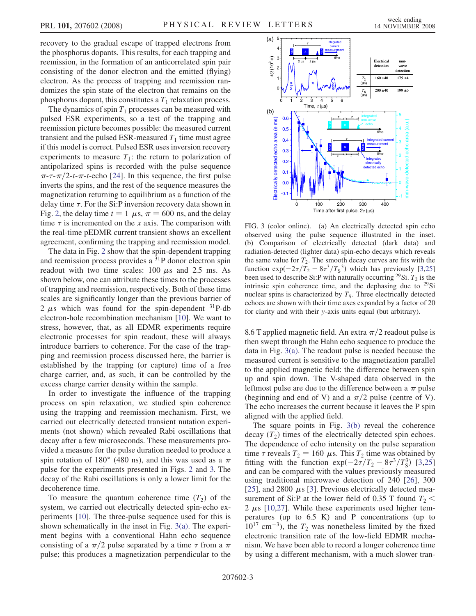<span id="page-2-0"></span>recovery to the gradual escape of trapped electrons from the phosphorus dopants. This results, for each trapping and reemission, in the formation of an anticorrelated spin pair consisting of the donor electron and the emitted (flying) electron. As the process of trapping and reemission randomizes the spin state of the electron that remains on the phosphorus dopant, this constitutes a  $T_1$  relaxation process.

The dynamics of spin  $T_1$  processes can be measured with pulsed ESR experiments, so a test of the trapping and reemission picture becomes possible: the measured current transient and the pulsed ESR-measured  $T_1$  time must agree if this model is correct. Pulsed ESR uses inversion recovery experiments to measure  $T_1$ : the return to polarization of antipolarized spins is recorded with the pulse sequence  $\pi$ - $\tau$ - $\pi$ /2-t- $\pi$ -t-echo [[24](#page-3-0)]. In this sequence, the first pulse inverts the spins, and the rest of the sequence measures the magnetization returning to equilibrium as a function of the delay time  $\tau$ . For the Si:P inversion recovery data shown in Fig. [2](#page-1-0), the delay time  $t = 1 \mu s$ ,  $\pi = 600 \text{ ns}$ , and the delay time  $\tau$  is incremented on the x axis. The comparison with the real-time pEDMR current transient shows an excellent agreement, confirming the trapping and reemission model.

The data in Fig. [2](#page-1-0) show that the spin-dependent trapping and reemission process provides a 31P donor electron spin readout with two time scales:  $100 \mu s$  and  $2.5 \text{ ms}$ . As shown below, one can attribute these times to the processes of trapping and reemission, respectively. Both of these time scales are significantly longer than the previous barrier of 2  $\mu$ s which was found for the spin-dependent <sup>31</sup>P-db electron-hole recombination mechanism [[10](#page-3-0)]. We want to stress, however, that, as all EDMR experiments require electronic processes for spin readout, these will always introduce barriers to coherence. For the case of the trapping and reemission process discussed here, the barrier is established by the trapping (or capture) time of a free charge carrier, and, as such, it can be controlled by the excess charge carrier density within the sample.

In order to investigate the influence of the trapping process on spin relaxation, we studied spin coherence using the trapping and reemission mechanism. First, we carried out electrically detected transient nutation experiments (not shown) which revealed Rabi oscillations that decay after a few microseconds. These measurements provided a measure for the pulse duration needed to produce a spin rotation of 180 $^{\circ}$  (480 ns), and this was used as a  $\pi$ pulse for the experiments presented in Figs. [2](#page-1-0) and 3. The decay of the Rabi oscillations is only a lower limit for the decoherence time.

To measure the quantum coherence time  $(T_2)$  of the system, we carried out electrically detected spin-echo experiments [\[10\]](#page-3-0). The three-pulse sequence used for this is shown schematically in the inset in Fig. 3(a). The experiment begins with a conventional Hahn echo sequence consisting of a  $\pi/2$  pulse separated by a time  $\tau$  from a  $\pi$ pulse; this produces a magnetization perpendicular to the



FIG. 3 (color online). (a) An electrically detected spin echo observed using the pulse sequence illustrated in the inset. (b) Comparison of electrically detected (dark data) and radiation-detected (lighter data) spin-echo decays which reveals the same value for  $T_2$ . The smooth decay curves are fits with the function  $\exp(-2\tau/T_2 - 8\tau^3/T_S^3)$  which has previously [\[3,25\]](#page-3-0) been used to describe Si:P with naturally occurring <sup>29</sup>Si.  $T_2$  is the intrinsic spin coherence time, and the dephasing due to  $^{29}$ Si nuclear spins is characterized by  $T<sub>S</sub>$ . Three electrically detected echoes are shown with their time axes expanded by a factor of 20 for clarity and with their y-axis units equal (but arbitrary).

8.6 T applied magnetic field. An extra  $\pi/2$  readout pulse is then swept through the Hahn echo sequence to produce the data in Fig. 3(a). The readout pulse is needed because the measured current is sensitive to the magnetization parallel to the applied magnetic field: the difference between spin up and spin down. The V-shaped data observed in the leftmost pulse are due to the difference between a  $\pi$  pulse (beginning and end of V) and a  $\pi/2$  pulse (centre of V). The echo increases the current because it leaves the P spin aligned with the applied field.

The square points in Fig. 3(b) reveal the coherence decay  $(T_2)$  times of the electrically detected spin echoes. The dependence of echo intensity on the pulse separation time  $\tau$  reveals  $T_2 = 160 \mu s$ . This  $T_2$  time was obtained by fitting with the function  $\exp(-2\tau/T_2 - 8\tau^3/T_5^3)$  [\[3,25\]](#page-3-0) and can be compared with the values previously measured using traditional microwave detection of 240 [[26](#page-3-0)], 300 [\[25\]](#page-3-0), and 2800  $\mu$ s [\[3\]](#page-3-0). Previous electrically detected measurement of Si:P at the lower field of 0.35 T found  $T_2$  < 2  $\mu$ s [\[10,27\]](#page-3-0). While these experiments used higher temperatures (up to 6.5 K) and P concentrations (up to  $10^{17}$  cm<sup>-3</sup>), the  $T_2$  was nonetheless limited by the fixed electronic transition rate of the low-field EDMR mechanism. We have been able to record a longer coherence time by using a different mechanism, with a much slower tran